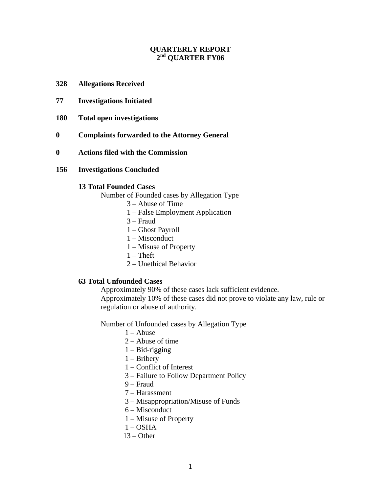# **QUARTERLY REPORT 2nd QUARTER FY06**

- **328 Allegations Received**
- **77 Investigations Initiated**
- **180 Total open investigations**
- **0 Complaints forwarded to the Attorney General**
- **0 Actions filed with the Commission**
- **156 Investigations Concluded**

### **13 Total Founded Cases**

Number of Founded cases by Allegation Type

- 3 Abuse of Time
- 1 False Employment Application
- 3 Fraud
- 1 Ghost Payroll
- 1 Misconduct
- 1 Misuse of Property
- $1 Theft$
- 2 Unethical Behavior

### **63 Total Unfounded Cases**

Approximately 90% of these cases lack sufficient evidence.

Approximately 10% of these cases did not prove to violate any law, rule or regulation or abuse of authority.

Number of Unfounded cases by Allegation Type

- $1 -$ Abuse
- 2 Abuse of time
- $1 Bid-rigging$
- 1 Bribery
- 1 Conflict of Interest
- 3 Failure to Follow Department Policy
- 9 Fraud
- 7 Harassment
- 3 Misappropriation/Misuse of Funds
- 6 Misconduct
- 1 Misuse of Property
- $1 OSHA$
- $13 Other$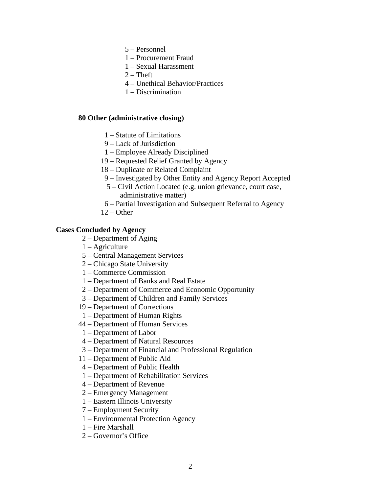- 5 Personnel
- 1 Procurement Fraud
- 1 Sexual Harassment
- $2$  Theft
- 4 Unethical Behavior/Practices
- 1 Discrimination

## **80 Other (administrative closing)**

- 1 Statute of Limitations
- 9 Lack of Jurisdiction
- 1 Employee Already Disciplined
- 19 Requested Relief Granted by Agency
- 18 Duplicate or Related Complaint
- 9 Investigated by Other Entity and Agency Report Accepted
- 5 Civil Action Located (e.g. union grievance, court case, administrative matter)
- 6 Partial Investigation and Subsequent Referral to Agency
- 12 Other

## **Cases Concluded by Agency**

- 2 Department of Aging
- 1 Agriculture
- 5 Central Management Services
- 2 Chicago State University
- 1 Commerce Commission
- 1 Department of Banks and Real Estate
- 2 Department of Commerce and Economic Opportunity
- 3 Department of Children and Family Services
- 19 Department of Corrections
- 1 Department of Human Rights
- 44 Department of Human Services
- 1 Department of Labor
- 4 Department of Natural Resources
- 3 Department of Financial and Professional Regulation
- 11 Department of Public Aid
- 4 Department of Public Health
- 1 Department of Rehabilitation Services
- 4 Department of Revenue
- 2 Emergency Management
- 1 Eastern Illinois University
- 7 Employment Security
- 1 Environmental Protection Agency
- 1 Fire Marshall
- 2 Governor's Office